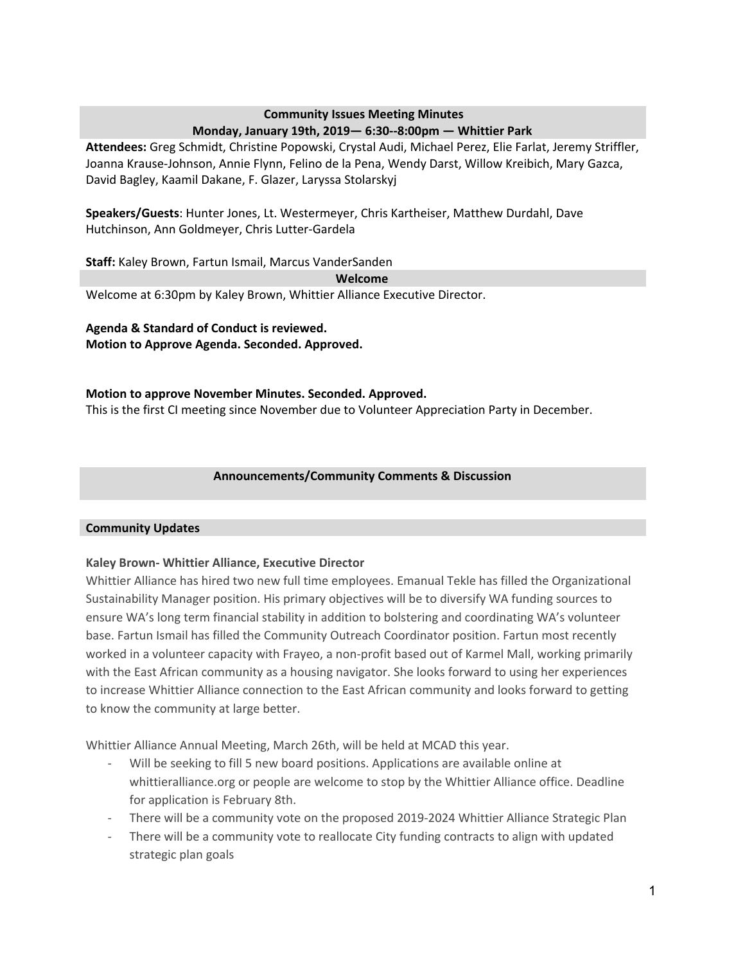### **Community Issues Meeting Minutes Monday, January 19th, 2019— 6:30--8:00pm — Whittier Park**

**Attendees:** Greg Schmidt, Christine Popowski, Crystal Audi, Michael Perez, Elie Farlat, Jeremy Striffler, Joanna Krause-Johnson, Annie Flynn, Felino de la Pena, Wendy Darst, Willow Kreibich, Mary Gazca, David Bagley, Kaamil Dakane, F. Glazer, Laryssa Stolarskyj

**Speakers/Guests**: Hunter Jones, Lt. Westermeyer, Chris Kartheiser, Matthew Durdahl, Dave Hutchinson, Ann Goldmeyer, Chris Lutter-Gardela

**Staff:** Kaley Brown, Fartun Ismail, Marcus VanderSanden

**Welcome**

Welcome at 6:30pm by Kaley Brown, Whittier Alliance Executive Director.

**Agenda & Standard of Conduct is reviewed. Motion to Approve Agenda. Seconded. Approved.**

### **Motion to approve November Minutes. Seconded. Approved.** This is the first CI meeting since November due to Volunteer Appreciation Party in December.

## **Announcements/Community Comments & Discussion**

### **Community Updates**

### **Kaley Brown- Whittier Alliance, Executive Director**

Whittier Alliance has hired two new full time employees. Emanual Tekle has filled the Organizational Sustainability Manager position. His primary objectives will be to diversify WA funding sources to ensure WA's long term financial stability in addition to bolstering and coordinating WA's volunteer base. Fartun Ismail has filled the Community Outreach Coordinator position. Fartun most recently worked in a volunteer capacity with Frayeo, a non-profit based out of Karmel Mall, working primarily with the East African community as a housing navigator. She looks forward to using her experiences to increase Whittier Alliance connection to the East African community and looks forward to getting to know the community at large better.

Whittier Alliance Annual Meeting, March 26th, will be held at MCAD this year.

- Will be seeking to fill 5 new board positions. Applications are available online at whittieralliance.org or people are welcome to stop by the Whittier Alliance office. Deadline for application is February 8th.
- There will be a community vote on the proposed 2019-2024 Whittier Alliance Strategic Plan
- There will be a community vote to reallocate City funding contracts to align with updated strategic plan goals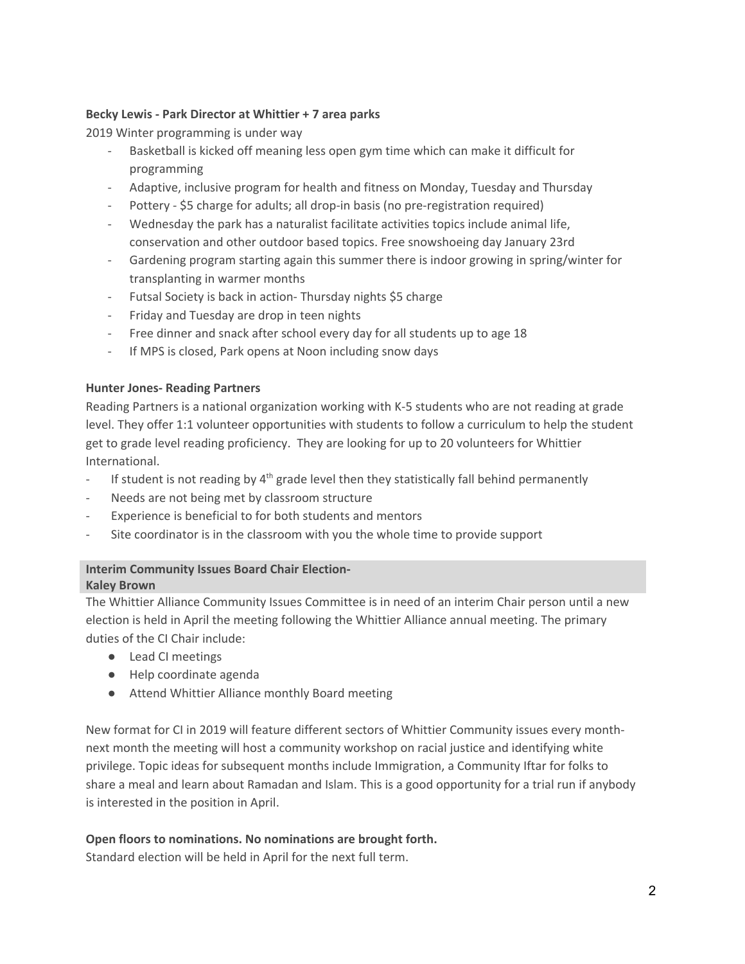### **Becky Lewis - Park Director at Whittier + 7 area parks**

2019 Winter programming is under way

- Basketball is kicked off meaning less open gym time which can make it difficult for programming
- Adaptive, inclusive program for health and fitness on Monday, Tuesday and Thursday
- Pottery \$5 charge for adults; all drop-in basis (no pre-registration required)
- Wednesday the park has a naturalist facilitate activities topics include animal life, conservation and other outdoor based topics. Free snowshoeing day January 23rd
- Gardening program starting again this summer there is indoor growing in spring/winter for transplanting in warmer months
- Futsal Society is back in action- Thursday nights \$5 charge
- Friday and Tuesday are drop in teen nights
- Free dinner and snack after school every day for all students up to age 18
- If MPS is closed, Park opens at Noon including snow days

### **Hunter Jones- Reading Partners**

Reading Partners is a national organization working with K-5 students who are not reading at grade level. They offer 1:1 volunteer opportunities with students to follow a curriculum to help the student get to grade level reading proficiency. They are looking for up to 20 volunteers for Whittier International.

- If student is not reading by 4<sup>th</sup> grade level then they statistically fall behind permanently
- Needs are not being met by classroom structure
- Experience is beneficial to for both students and mentors
- Site coordinator is in the classroom with you the whole time to provide support

### **Interim Community Issues Board Chair Election-Kaley Brown**

The Whittier Alliance Community Issues Committee is in need of an interim Chair person until a new election is held in April the meeting following the Whittier Alliance annual meeting. The primary duties of the CI Chair include:

- Lead CI meetings
- Help coordinate agenda
- Attend Whittier Alliance monthly Board meeting

New format for CI in 2019 will feature different sectors of Whittier Community issues every monthnext month the meeting will host a community workshop on racial justice and identifying white privilege. Topic ideas for subsequent months include Immigration, a Community Iftar for folks to share a meal and learn about Ramadan and Islam. This is a good opportunity for a trial run if anybody is interested in the position in April.

### **Open floors to nominations. No nominations are brought forth.**

Standard election will be held in April for the next full term.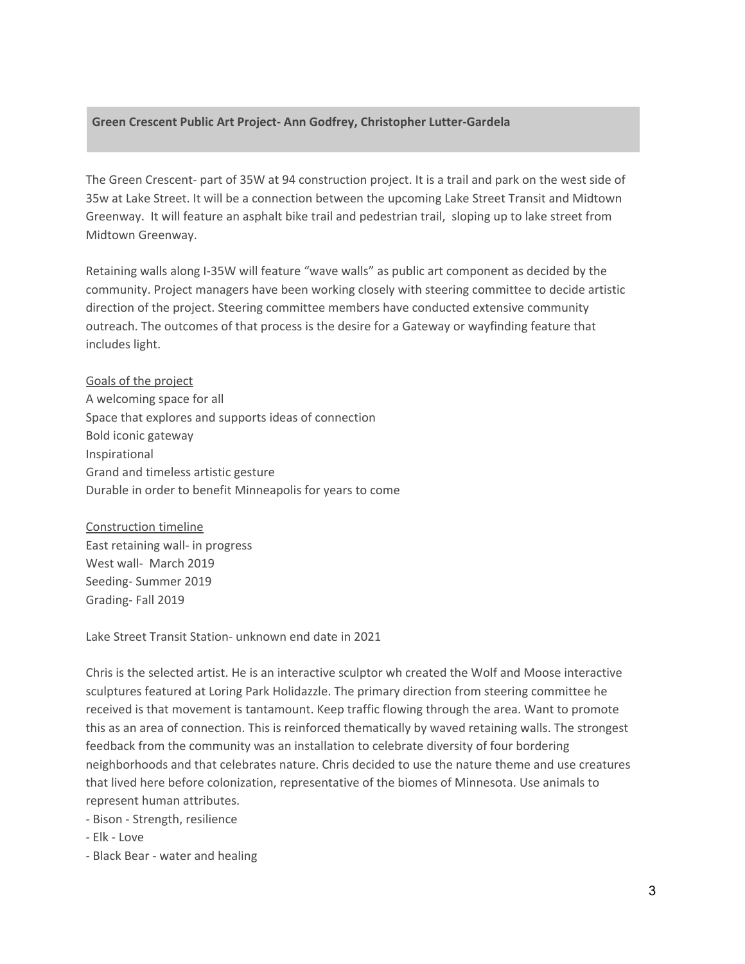#### **Green Crescent Public Art Project- Ann Godfrey, Christopher Lutter-Gardela**

The Green Crescent- part of 35W at 94 construction project. It is a trail and park on the west side of 35w at Lake Street. It will be a connection between the upcoming Lake Street Transit and Midtown Greenway. It will feature an asphalt bike trail and pedestrian trail, sloping up to lake street from Midtown Greenway.

Retaining walls along I-35W will feature "wave walls" as public art component as decided by the community. Project managers have been working closely with steering committee to decide artistic direction of the project. Steering committee members have conducted extensive community outreach. The outcomes of that process is the desire for a Gateway or wayfinding feature that includes light.

Goals of the project A welcoming space for all Space that explores and supports ideas of connection Bold iconic gateway Inspirational Grand and timeless artistic gesture Durable in order to benefit Minneapolis for years to come

Construction timeline East retaining wall- in progress West wall- March 2019 Seeding- Summer 2019 Grading- Fall 2019

Lake Street Transit Station- unknown end date in 2021

Chris is the selected artist. He is an interactive sculptor wh created the Wolf and Moose interactive sculptures featured at Loring Park Holidazzle. The primary direction from steering committee he received is that movement is tantamount. Keep traffic flowing through the area. Want to promote this as an area of connection. This is reinforced thematically by waved retaining walls. The strongest feedback from the community was an installation to celebrate diversity of four bordering neighborhoods and that celebrates nature. Chris decided to use the nature theme and use creatures that lived here before colonization, representative of the biomes of Minnesota. Use animals to represent human attributes.

- Bison - Strength, resilience

- Elk - Love

- Black Bear - water and healing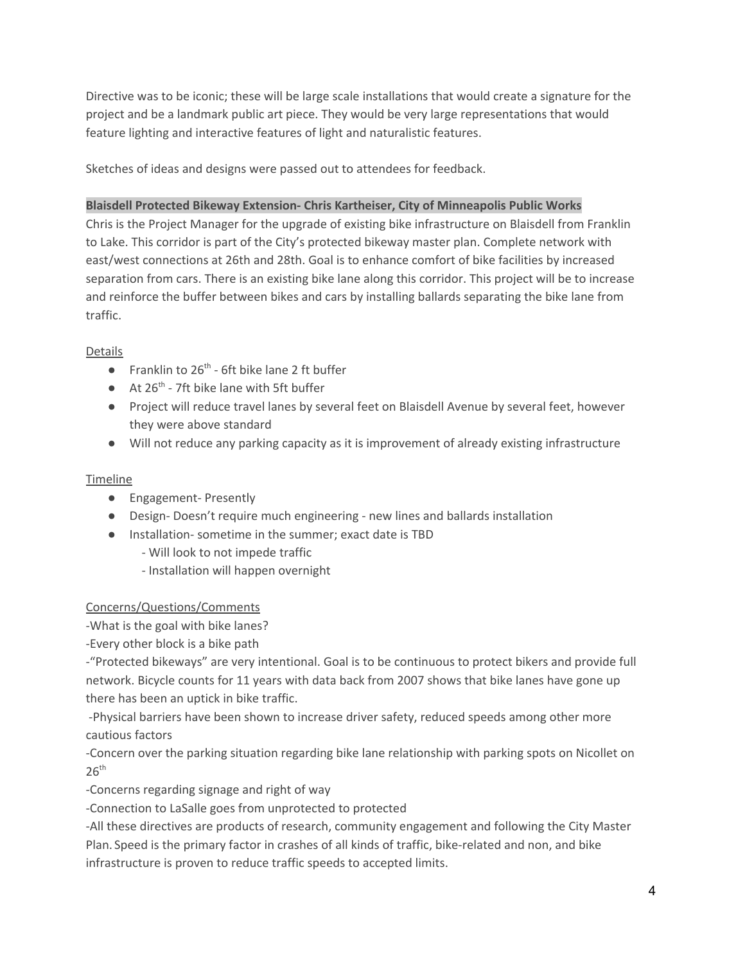Directive was to be iconic; these will be large scale installations that would create a signature for the project and be a landmark public art piece. They would be very large representations that would feature lighting and interactive features of light and naturalistic features.

Sketches of ideas and designs were passed out to attendees for feedback.

### **Blaisdell Protected Bikeway Extension- Chris Kartheiser, City of Minneapolis Public Works**

Chris is the Project Manager for the upgrade of existing bike infrastructure on Blaisdell from Franklin to Lake. This corridor is part of the City's protected bikeway master plan. Complete network with east/west connections at 26th and 28th. Goal is to enhance comfort of bike facilities by increased separation from cars. There is an existing bike lane along this corridor. This project will be to increase and reinforce the buffer between bikes and cars by installing ballards separating the bike lane from traffic.

## Details

- Franklin to  $26^{th}$  6ft bike lane 2 ft buffer
- $\bullet$  At 26<sup>th</sup> 7ft bike lane with 5ft buffer
- Project will reduce travel lanes by several feet on Blaisdell Avenue by several feet, however they were above standard
- Will not reduce any parking capacity as it is improvement of already existing infrastructure

### Timeline

- Engagement- Presently
- Design- Doesn't require much engineering new lines and ballards installation
- Installation- sometime in the summer; exact date is TBD
	- Will look to not impede traffic
	- Installation will happen overnight

### Concerns/Questions/Comments

-What is the goal with bike lanes?

-Every other block is a bike path

-"Protected bikeways" are very intentional. Goal is to be continuous to protect bikers and provide full network. Bicycle counts for 11 years with data back from 2007 shows that bike lanes have gone up there has been an uptick in bike traffic.

-Physical barriers have been shown to increase driver safety, reduced speeds among other more cautious factors

-Concern over the parking situation regarding bike lane relationship with parking spots on Nicollet on  $26<sup>th</sup>$ 

-Concerns regarding signage and right of way

-Connection to LaSalle goes from unprotected to protected

-All these directives are products of research, community engagement and following the City Master Plan. Speed is the primary factor in crashes of all kinds of traffic, bike-related and non, and bike infrastructure is proven to reduce traffic speeds to accepted limits.